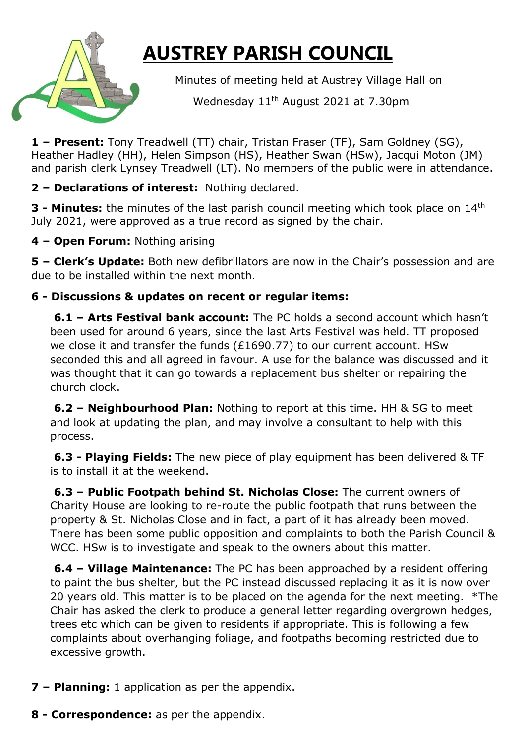

## **AUSTREY PARISH COUNCIL**

Minutes of meeting held at Austrey Village Hall on

Wednesday 11<sup>th</sup> August 2021 at 7.30pm

**1 – Present:** Tony Treadwell (TT) chair, Tristan Fraser (TF), Sam Goldney (SG), Heather Hadley (HH), Helen Simpson (HS), Heather Swan (HSw), Jacqui Moton (JM) and parish clerk Lynsey Treadwell (LT). No members of the public were in attendance.

**2 – Declarations of interest:** Nothing declared.

**3 - Minutes:** the minutes of the last parish council meeting which took place on 14th July 2021, were approved as a true record as signed by the chair.

**4 – Open Forum:** Nothing arising

**5 – Clerk's Update:** Both new defibrillators are now in the Chair's possession and are due to be installed within the next month.

## **6 - Discussions & updates on recent or regular items:**

**6.1 – Arts Festival bank account:** The PC holds a second account which hasn't been used for around 6 years, since the last Arts Festival was held. TT proposed we close it and transfer the funds (£1690.77) to our current account. HSw seconded this and all agreed in favour. A use for the balance was discussed and it was thought that it can go towards a replacement bus shelter or repairing the church clock.

**6.2 – Neighbourhood Plan:** Nothing to report at this time. HH & SG to meet and look at updating the plan, and may involve a consultant to help with this process.

**6.3 - Playing Fields:** The new piece of play equipment has been delivered & TF is to install it at the weekend.

**6.3 – Public Footpath behind St. Nicholas Close:** The current owners of Charity House are looking to re-route the public footpath that runs between the property & St. Nicholas Close and in fact, a part of it has already been moved. There has been some public opposition and complaints to both the Parish Council & WCC. HSw is to investigate and speak to the owners about this matter.

**6.4 – Village Maintenance:** The PC has been approached by a resident offering to paint the bus shelter, but the PC instead discussed replacing it as it is now over 20 years old. This matter is to be placed on the agenda for the next meeting. \*The Chair has asked the clerk to produce a general letter regarding overgrown hedges, trees etc which can be given to residents if appropriate. This is following a few complaints about overhanging foliage, and footpaths becoming restricted due to excessive growth.

- **7 – Planning:** 1 application as per the appendix.
- **8 - Correspondence:** as per the appendix.